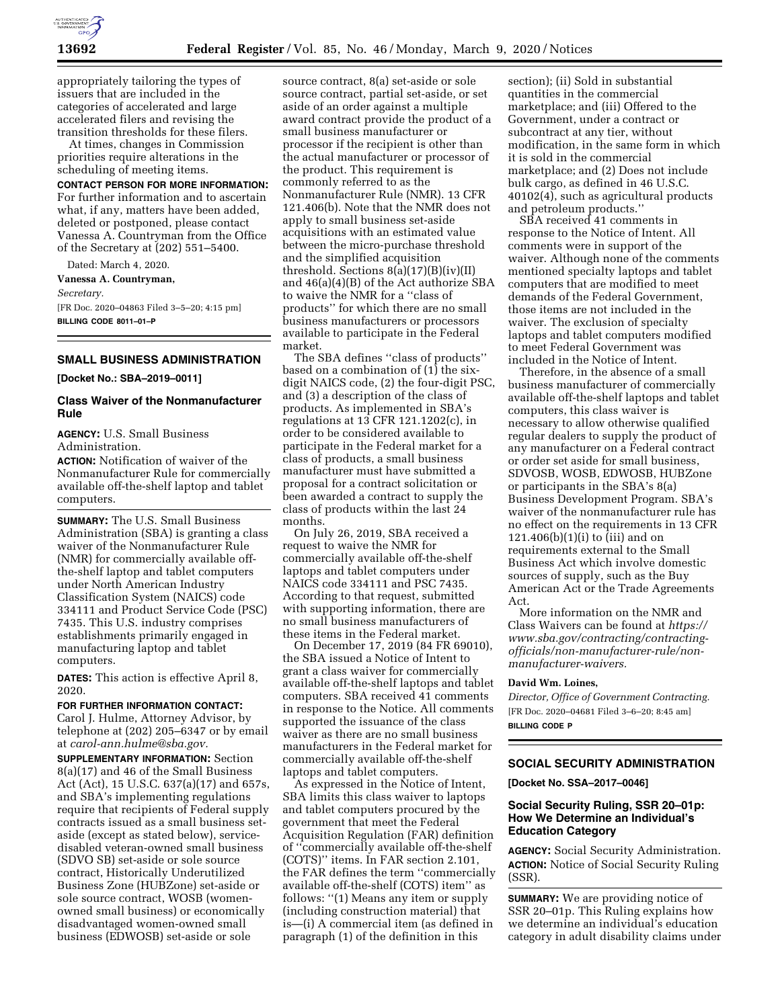

appropriately tailoring the types of issuers that are included in the categories of accelerated and large accelerated filers and revising the transition thresholds for these filers.

At times, changes in Commission priorities require alterations in the scheduling of meeting items.

#### **CONTACT PERSON FOR MORE INFORMATION:**

For further information and to ascertain what, if any, matters have been added, deleted or postponed, please contact Vanessa A. Countryman from the Office of the Secretary at (202) 551–5400.

Dated: March 4, 2020.

**Vanessa A. Countryman,** 

*Secretary.* 

[FR Doc. 2020–04863 Filed 3–5–20; 4:15 pm] **BILLING CODE 8011–01–P** 

#### **SMALL BUSINESS ADMINISTRATION**

**[Docket No.: SBA–2019–0011]** 

# **Class Waiver of the Nonmanufacturer Rule**

**AGENCY:** U.S. Small Business Administration.

**ACTION:** Notification of waiver of the Nonmanufacturer Rule for commercially available off-the-shelf laptop and tablet computers.

**SUMMARY:** The U.S. Small Business Administration (SBA) is granting a class waiver of the Nonmanufacturer Rule (NMR) for commercially available offthe-shelf laptop and tablet computers under North American Industry Classification System (NAICS) code 334111 and Product Service Code (PSC) 7435. This U.S. industry comprises establishments primarily engaged in manufacturing laptop and tablet computers.

**DATES:** This action is effective April 8, 2020.

## **FOR FURTHER INFORMATION CONTACT:**

Carol J. Hulme, Attorney Advisor, by telephone at (202) 205–6347 or by email at *[carol-ann.hulme@sba.gov.](mailto:carol-ann.hulme@sba.gov)* 

**SUPPLEMENTARY INFORMATION:** Section 8(a)(17) and 46 of the Small Business Act (Act), 15 U.S.C. 637(a)(17) and 657s, and SBA's implementing regulations require that recipients of Federal supply contracts issued as a small business setaside (except as stated below), servicedisabled veteran-owned small business (SDVO SB) set-aside or sole source contract, Historically Underutilized Business Zone (HUBZone) set-aside or sole source contract, WOSB (womenowned small business) or economically disadvantaged women-owned small business (EDWOSB) set-aside or sole

source contract, 8(a) set-aside or sole source contract, partial set-aside, or set aside of an order against a multiple award contract provide the product of a small business manufacturer or processor if the recipient is other than the actual manufacturer or processor of the product. This requirement is commonly referred to as the Nonmanufacturer Rule (NMR). 13 CFR 121.406(b). Note that the NMR does not apply to small business set-aside acquisitions with an estimated value between the micro-purchase threshold and the simplified acquisition threshold. Sections 8(a)(17)(B)(iv)(II) and 46(a)(4)(B) of the Act authorize SBA to waive the NMR for a ''class of products'' for which there are no small business manufacturers or processors available to participate in the Federal market.

The SBA defines ''class of products'' based on a combination of (1) the sixdigit NAICS code, (2) the four-digit PSC, and (3) a description of the class of products. As implemented in SBA's regulations at 13 CFR 121.1202(c), in order to be considered available to participate in the Federal market for a class of products, a small business manufacturer must have submitted a proposal for a contract solicitation or been awarded a contract to supply the class of products within the last 24 months.

On July 26, 2019, SBA received a request to waive the NMR for commercially available off-the-shelf laptops and tablet computers under NAICS code 334111 and PSC 7435. According to that request, submitted with supporting information, there are no small business manufacturers of these items in the Federal market.

On December 17, 2019 (84 FR 69010), the SBA issued a Notice of Intent to grant a class waiver for commercially available off-the-shelf laptops and tablet computers. SBA received 41 comments in response to the Notice. All comments supported the issuance of the class waiver as there are no small business manufacturers in the Federal market for commercially available off-the-shelf laptops and tablet computers.

As expressed in the Notice of Intent, SBA limits this class waiver to laptops and tablet computers procured by the government that meet the Federal Acquisition Regulation (FAR) definition of ''commercially available off-the-shelf (COTS)'' items. In FAR section 2.101, the FAR defines the term ''commercially available off-the-shelf (COTS) item'' as follows: "(1) Means any item or supply (including construction material) that is—(i) A commercial item (as defined in paragraph (1) of the definition in this

section); (ii) Sold in substantial quantities in the commercial marketplace; and (iii) Offered to the Government, under a contract or subcontract at any tier, without modification, in the same form in which it is sold in the commercial marketplace; and (2) Does not include bulk cargo, as defined in 46 U.S.C. 40102(4), such as agricultural products and petroleum products.''

SBA received 41 comments in response to the Notice of Intent. All comments were in support of the waiver. Although none of the comments mentioned specialty laptops and tablet computers that are modified to meet demands of the Federal Government, those items are not included in the waiver. The exclusion of specialty laptops and tablet computers modified to meet Federal Government was included in the Notice of Intent.

Therefore, in the absence of a small business manufacturer of commercially available off-the-shelf laptops and tablet computers, this class waiver is necessary to allow otherwise qualified regular dealers to supply the product of any manufacturer on a Federal contract or order set aside for small business, SDVOSB, WOSB, EDWOSB, HUBZone or participants in the SBA's 8(a) Business Development Program. SBA's waiver of the nonmanufacturer rule has no effect on the requirements in 13 CFR 121.406 $(b)(1)(i)$  to (iii) and on requirements external to the Small Business Act which involve domestic sources of supply, such as the Buy American Act or the Trade Agreements Act.

More information on the NMR and Class Waivers can be found at *[https://](https://www.sba.gov/contracting/contracting-officials/non-manufacturer-rule/non-manufacturer-waivers)  [www.sba.gov/contracting/contracting](https://www.sba.gov/contracting/contracting-officials/non-manufacturer-rule/non-manufacturer-waivers)[officials/non-manufacturer-rule/non](https://www.sba.gov/contracting/contracting-officials/non-manufacturer-rule/non-manufacturer-waivers)[manufacturer-waivers](https://www.sba.gov/contracting/contracting-officials/non-manufacturer-rule/non-manufacturer-waivers).* 

#### **David Wm. Loines,**

*Director, Office of Government Contracting.*  [FR Doc. 2020–04681 Filed 3–6–20; 8:45 am] **BILLING CODE P** 

# **SOCIAL SECURITY ADMINISTRATION**

**[Docket No. SSA–2017–0046]** 

# **Social Security Ruling, SSR 20–01p: How We Determine an Individual's Education Category**

**AGENCY:** Social Security Administration. **ACTION:** Notice of Social Security Ruling (SSR).

**SUMMARY:** We are providing notice of SSR 20–01p. This Ruling explains how we determine an individual's education category in adult disability claims under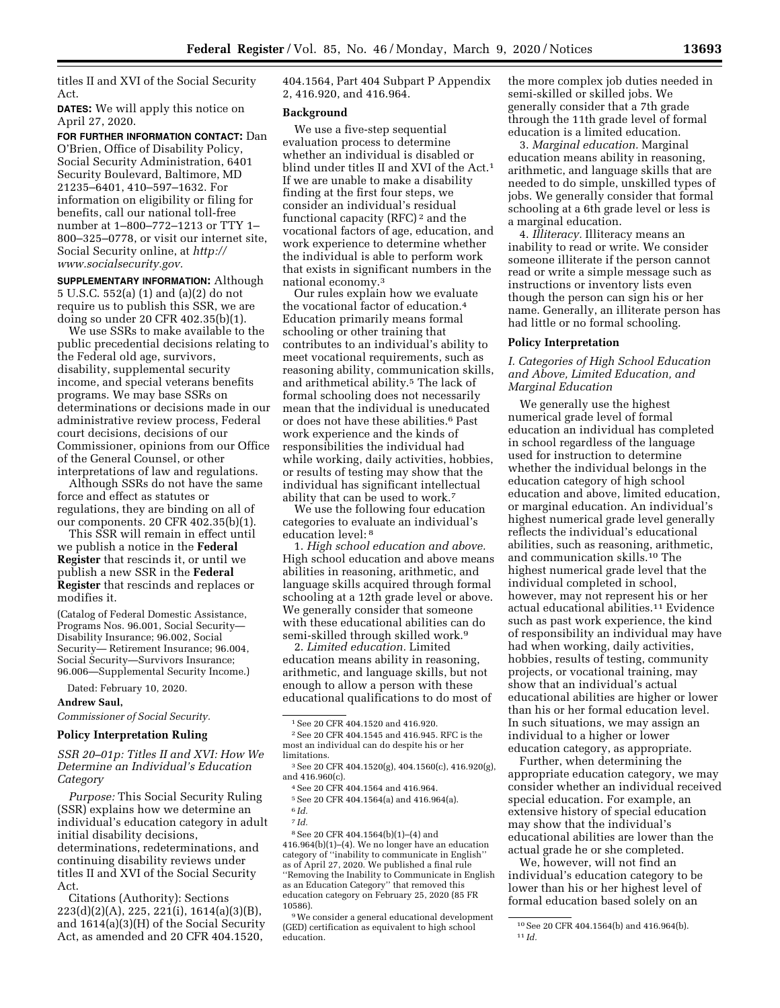titles II and XVI of the Social Security Act.

**DATES:** We will apply this notice on April 27, 2020.

**FOR FURTHER INFORMATION CONTACT:** Dan O'Brien, Office of Disability Policy, Social Security Administration, 6401 Security Boulevard, Baltimore, MD 21235–6401, 410–597–1632. For information on eligibility or filing for benefits, call our national toll-free number at 1–800–772–1213 or TTY 1– 800–325–0778, or visit our internet site, Social Security online, at *[http://](http://www.socialsecurity.gov) [www.socialsecurity.gov.](http://www.socialsecurity.gov)* 

**SUPPLEMENTARY INFORMATION:** Although 5 U.S.C. 552(a) (1) and (a)(2) do not require us to publish this SSR, we are doing so under 20 CFR 402.35(b)(1).

We use SSRs to make available to the public precedential decisions relating to the Federal old age, survivors, disability, supplemental security income, and special veterans benefits programs. We may base SSRs on determinations or decisions made in our administrative review process, Federal court decisions, decisions of our Commissioner, opinions from our Office of the General Counsel, or other interpretations of law and regulations.

Although SSRs do not have the same force and effect as statutes or regulations, they are binding on all of our components. 20 CFR 402.35(b)(1).

This SSR will remain in effect until we publish a notice in the **Federal Register** that rescinds it, or until we publish a new SSR in the **Federal Register** that rescinds and replaces or modifies it.

(Catalog of Federal Domestic Assistance, Programs Nos. 96.001, Social Security— Disability Insurance; 96.002, Social Security— Retirement Insurance; 96.004, Social Security—Survivors Insurance; 96.006—Supplemental Security Income.)

Dated: February 10, 2020.

#### **Andrew Saul,**

*Commissioner of Social Security.* 

#### **Policy Interpretation Ruling**

*SSR 20–01p: Titles II and XVI: How We Determine an Individual's Education Category* 

*Purpose:* This Social Security Ruling (SSR) explains how we determine an individual's education category in adult initial disability decisions, determinations, redeterminations, and continuing disability reviews under titles II and XVI of the Social Security Act.

Citations (Authority): Sections 223(d)(2)(A), 225, 221(i), 1614(a)(3)(B), and 1614(a)(3)(H) of the Social Security Act, as amended and 20 CFR 404.1520,

404.1564, Part 404 Subpart P Appendix 2, 416.920, and 416.964.

#### **Background**

We use a five-step sequential evaluation process to determine whether an individual is disabled or blind under titles II and XVI of the Act.<sup>1</sup> If we are unable to make a disability finding at the first four steps, we consider an individual's residual functional capacity (RFC) 2 and the vocational factors of age, education, and work experience to determine whether the individual is able to perform work that exists in significant numbers in the national economy.3

Our rules explain how we evaluate the vocational factor of education.4 Education primarily means formal schooling or other training that contributes to an individual's ability to meet vocational requirements, such as reasoning ability, communication skills, and arithmetical ability.5 The lack of formal schooling does not necessarily mean that the individual is uneducated or does not have these abilities.6 Past work experience and the kinds of responsibilities the individual had while working, daily activities, hobbies, or results of testing may show that the individual has significant intellectual ability that can be used to work.7

We use the following four education categories to evaluate an individual's education level: 8

1. *High school education and above.*  High school education and above means abilities in reasoning, arithmetic, and language skills acquired through formal schooling at a 12th grade level or above. We generally consider that someone with these educational abilities can do semi-skilled through skilled work.9

2. *Limited education.* Limited education means ability in reasoning, arithmetic, and language skills, but not enough to allow a person with these educational qualifications to do most of

2See 20 CFR 404.1545 and 416.945. RFC is the most an individual can do despite his or her limitations.

8See 20 CFR 404.1564(b)(1)–(4) and 416.964(b)(1)–(4). We no longer have an education category of ''inability to communicate in English'' as of April 27, 2020. We published a final rule ''Removing the Inability to Communicate in English as an Education Category'' that removed this education category on February 25, 2020 (85 FR 10586).

9We consider a general educational development (GED) certification as equivalent to high school education.

the more complex job duties needed in semi-skilled or skilled jobs. We generally consider that a 7th grade through the 11th grade level of formal education is a limited education.

3. *Marginal education.* Marginal education means ability in reasoning, arithmetic, and language skills that are needed to do simple, unskilled types of jobs. We generally consider that formal schooling at a 6th grade level or less is a marginal education.

4. *Illiteracy.* Illiteracy means an inability to read or write. We consider someone illiterate if the person cannot read or write a simple message such as instructions or inventory lists even though the person can sign his or her name. Generally, an illiterate person has had little or no formal schooling.

# **Policy Interpretation**

*I. Categories of High School Education and Above, Limited Education, and Marginal Education* 

We generally use the highest numerical grade level of formal education an individual has completed in school regardless of the language used for instruction to determine whether the individual belongs in the education category of high school education and above, limited education, or marginal education. An individual's highest numerical grade level generally reflects the individual's educational abilities, such as reasoning, arithmetic, and communication skills.10 The highest numerical grade level that the individual completed in school, however, may not represent his or her actual educational abilities.11 Evidence such as past work experience, the kind of responsibility an individual may have had when working, daily activities, hobbies, results of testing, community projects, or vocational training, may show that an individual's actual educational abilities are higher or lower than his or her formal education level. In such situations, we may assign an individual to a higher or lower education category, as appropriate.

Further, when determining the appropriate education category, we may consider whether an individual received special education. For example, an extensive history of special education may show that the individual's educational abilities are lower than the actual grade he or she completed.

We, however, will not find an individual's education category to be lower than his or her highest level of formal education based solely on an

<sup>1</sup>See 20 CFR 404.1520 and 416.920.

<sup>3</sup>See 20 CFR 404.1520(g), 404.1560(c), 416.920(g), and 416.960(c).

<sup>4</sup>See 20 CFR 404.1564 and 416.964.

<sup>5</sup>See 20 CFR 404.1564(a) and 416.964(a).

<sup>6</sup> *Id.*  7 *Id.* 

<sup>10</sup>See 20 CFR 404.1564(b) and 416.964(b). 11 *Id.*